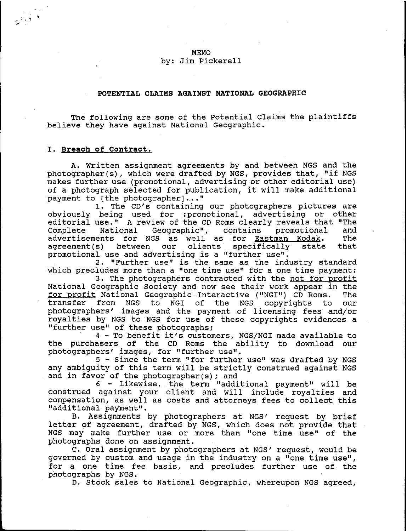# MEMO by: Jim Pickerell

### **POTENTIAL CLAIMS AGAINST NATIONAL GEOGRAPHIC**

The following are some of the Potential Claims the plaintiffs believe they have against National Geographic.

## I. **Breach of Contract.**

:;.., •• "I

,

A. Written assignment agreements by and between NGS and the photographer(s), which were drafted by NGS, provides that, "if NGS makes further use (promotional, advertising or other editorial use) of a photograph selected for publication, it will make additional payment to [the photographer]..."

1. The CD's containing our photographers pictures are obviously being used for :promotional, advertising or other editorial use." A review of the CD Roms clearly reveals that "The Complete Mational Geographic", contains promotional and Geographic", advertisements for NGS as well as for <u>Eastman Kodak</u>. The agreement(s) between our clients specifically state that agreement (s) between our promotional use and advertising is a "further use".

2. "Further use" is the same as the industry standard which precludes more than a "one time use" for a one time payment;

3. The photographers contracted with the not for profit National Geographic Society and now see their work appear in the<br>for profit National Geographic Interactive ("NGI") CD Roms. The for profit National Geographic Interactive ("NGI") CD Roms.<br>transfer from NGS to NGI of the NGS copyrights to transfer from NGS to NGI of the NGS copyrights to our photographers' images and the payment of licensing fees and/or royalties by NGS to NGS for use of these copyrights evidences a "further use" of these photographs;

4 - To benefit it's customers, NGS/NGI made available to the purchasers of the CD Roms the ability to download our photographers' images, for "further use".

5 - Since the term "for further use" was drafted by NGS any ambiguity of this term will be strictly construed against NGS and in favor of the photographer(s); and

6 - Likewise, the term "additional payment" will be construed against your client and will include royalties and compensation, as well as costs and attorneys fees to collect this "additional payment".

B. Assignments by photographers at NGS' request by brief letter of agreement, drafted by NGS, which does not provide that NGS may make further use or more than "one time use" of the photographs done on assignment.

C. Oral assignment by photographers at NGS' request, would be governed by custom and usage in the industry on a "one time use", for a one time fee basis, and precludes further use of the photographs by NGS.

D. Stock sales to National Geographic, whereupon NGS agreed,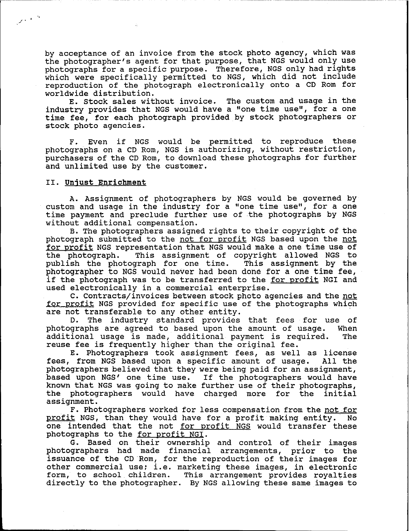by acceptance of an invoice from the stock photo agency, which was the photographer's agent for that purpose, that NGS would only use photographs for a specific purpose. Therefore, NGS only had rights which were specifically permitted to NGS, which did not include reproduction of the photograph electronically onto a CD Rom for worldwide distribution.

E. stock sales without invoice. The custom and usage in the industry provides that NGS would have a "one time use", for a one time fee, for each photograph provided by stock photographers or stock photo agencies.

F. Even if NGS would be permitted to reproduce these photographs on a CD Rom, NGS is authorizing, without restriction, purchasers of the CD Rom, to download these photographs for further and unlimited use by the customer.

#### II. Unjust Enrichment

 $\mathcal{L}^{(k+1)}$ 

A. Assignment of photographers by NGS would be governed by custom and usage in the industry for a "one time use", for a one time payment and preclude further use of the photographs by NGS without additional compensation.

B. The photographers assigned rights to their copyright of the photograph submitted to the not for profit NGS based upon the not for profit NGS representation that NGS would make a one time use of the photograph. This assignment of copyright allowed NGS to This assignment of copyright allowed NGS to<br>praph for one time. This assignment by the publish the photograph for one time. photographer to NGS would never had been dona for a one time fee, if the photograph was to be transferred to the for profit NGI and used electronically in a commercial enterprise.

C. Contracts/invoices between stock photo agencies and the not for profit NGS provided for specific use of the photographs which are not transferable to any other entity.

D. The industry standard provides that fees for use of photographs are agreed to based upon the amount of usage. When additional usage is made, additional payment is required. The reuse fee is frequently higher than the original fee.

E. Photographers took assignment fees, as well as license<br>from NGS based upon a specific amount of usage. All the fees, from NGS based upon a specific amount of usage. photographers believed that they were being paid for an assignment, based upon NGS' one time use. If the photographers would have known that NGS was going to make further use of their photographs,<br>the photographers would have charged more for the initial photographers would have charged more for the assignment.

F. Photographers worked for less compensation from the not for profit NGS, than they would have for a profit making entity. No one intended that the not for profit NGS would transfer these photographs to the for profit NGI.

G. Based on their ownership and control of their images photographers had made financial arrangements, prior to the issuance of the CD Rom, for the reproduction of their images for other commercial use; i.e. marketing these images, in electronic<br>form, to school children. This arrangement provides royalties This arrangement provides royalties directly to the photographer. By NGS allowing these same images to